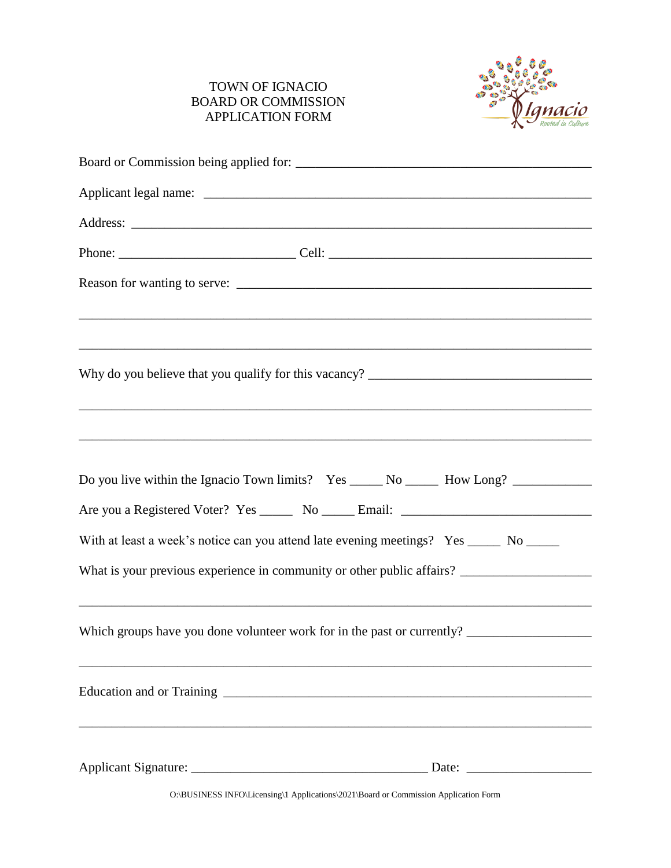## TOWN OF IGNACIO BOARD OR COMMISSION APPLICATION FORM



| Reason for wanting to serve:                                                            |
|-----------------------------------------------------------------------------------------|
| ,我们也不会有什么。""我们的人,我们也不会有什么?""我们的人,我们也不会有什么?""我们的人,我们也不会有什么?""我们的人,我们也不会有什么?""我们的人        |
|                                                                                         |
|                                                                                         |
| ,我们也不能在这里的时候,我们也不能在这里的时候,我们也不能会不能会不能会不能会不能会不能会不能会不能会不能会不能会。""我们的是我们的,我们也不能会不能会不能        |
|                                                                                         |
| Do you live within the Ignacio Town limits? Yes ______ No ______ How Long? ____________ |
| Are you a Registered Voter? Yes _______ No ______ Email: ________________________       |
| With at least a week's notice can you attend late evening meetings? Yes _____ No _____  |
|                                                                                         |
| ,我们也不会有什么。""我们的人,我们也不会有什么?""我们的人,我们也不会有什么?""我们的人,我们的人,我们的人,我们的人,我们的人,我们的人,我们的人,我们       |
| Which groups have you done volunteer work for in the past or currently?                 |
|                                                                                         |
|                                                                                         |
|                                                                                         |
|                                                                                         |
|                                                                                         |

O:\BUSINESS INFO\Licensing\1 Applications\2021\Board or Commission Application Form